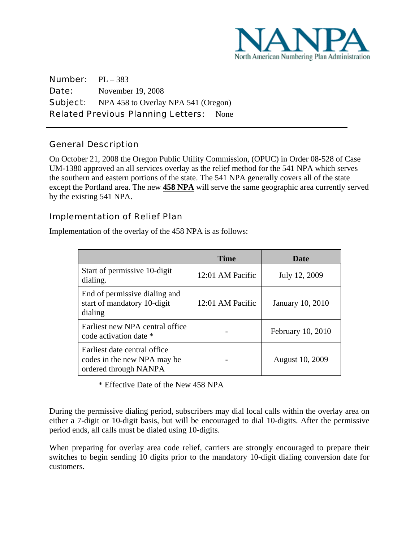

Number: PL – 383 **Date:** November 19, 2008 Subject: NPA 458 to Overlay NPA 541 (Oregon) Related Previous Planning Letters: None

# General Description

 $\overline{a}$ 

On October 21, 2008 the Oregon Public Utility Commission, (OPUC) in Order 08-528 of Case UM-1380 approved an all services overlay as the relief method for the 541 NPA which serves the southern and eastern portions of the state. The 541 NPA generally covers all of the state except the Portland area. The new **458 NPA** will serve the same geographic area currently served by the existing 541 NPA.

#### Implementation of Relief Plan

Implementation of the overlay of the 458 NPA is as follows:

|                                                                                      | Time             | <b>Date</b>       |
|--------------------------------------------------------------------------------------|------------------|-------------------|
| Start of permissive 10-digit<br>dialing.                                             | 12:01 AM Pacific | July 12, 2009     |
| End of permissive dialing and<br>start of mandatory 10-digit<br>dialing              | 12:01 AM Pacific | January 10, 2010  |
| Earliest new NPA central office<br>code activation date *                            |                  | February 10, 2010 |
| Earliest date central office<br>codes in the new NPA may be<br>ordered through NANPA |                  | August 10, 2009   |

\* Effective Date of the New 458 NPA

During the permissive dialing period, subscribers may dial local calls within the overlay area on either a 7-digit or 10-digit basis, but will be encouraged to dial 10-digits. After the permissive period ends, all calls must be dialed using 10-digits.

When preparing for overlay area code relief, carriers are strongly encouraged to prepare their switches to begin sending 10 digits prior to the mandatory 10-digit dialing conversion date for customers.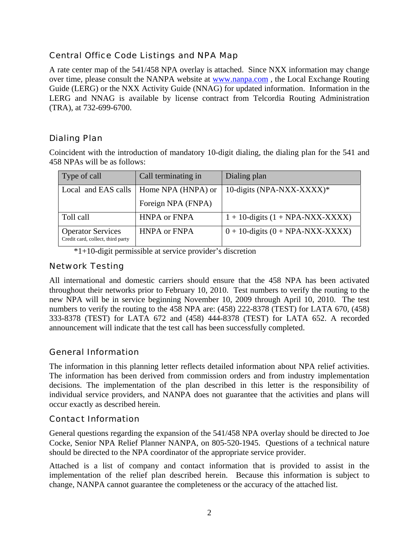# Central Office Code Listings and NPA Map

A rate center map of the 541/458 NPA overlay is attached. Since NXX information may change over time, please consult the NANPA website at www.nanpa.com , the Local Exchange Routing Guide (LERG) or the NXX Activity Guide (NNAG) for updated information. Information in the LERG and NNAG is available by license contract from Telcordia Routing Administration (TRA), at 732-699-6700.

# Dialing Plan

Coincident with the introduction of mandatory 10-digit dialing, the dialing plan for the 541 and 458 NPAs will be as follows:

| Type of call                                                  | Call terminating in | Dialing plan                          |
|---------------------------------------------------------------|---------------------|---------------------------------------|
| Local and EAS calls                                           | Home NPA (HNPA) or  | 10-digits (NPA-NXX-XXXX)*             |
|                                                               | Foreign NPA (FNPA)  |                                       |
| Toll call                                                     | <b>HNPA or FNPA</b> | $1 + 10$ -digits $(1 + NPA-NXX-XXXX)$ |
| <b>Operator Services</b><br>Credit card, collect, third party | <b>HNPA or FNPA</b> | $0 + 10$ -digits $(0 + NPA-NXX-XXXX)$ |

\*1+10-digit permissible at service provider's discretion

#### Network Testing

All international and domestic carriers should ensure that the 458 NPA has been activated throughout their networks prior to February 10, 2010. Test numbers to verify the routing to the new NPA will be in service beginning November 10, 2009 through April 10, 2010. The test numbers to verify the routing to the 458 NPA are: (458) 222-8378 (TEST) for LATA 670, (458) 333-8378 (TEST) for LATA 672 and (458) 444-8378 (TEST) for LATA 652. A recorded announcement will indicate that the test call has been successfully completed.

# General Information

The information in this planning letter reflects detailed information about NPA relief activities. The information has been derived from commission orders and from industry implementation decisions. The implementation of the plan described in this letter is the responsibility of individual service providers, and NANPA does not guarantee that the activities and plans will occur exactly as described herein.

# Contact Information

General questions regarding the expansion of the 541/458 NPA overlay should be directed to Joe Cocke, Senior NPA Relief Planner NANPA, on 805-520-1945. Questions of a technical nature should be directed to the NPA coordinator of the appropriate service provider.

Attached is a list of company and contact information that is provided to assist in the implementation of the relief plan described herein. Because this information is subject to change, NANPA cannot guarantee the completeness or the accuracy of the attached list.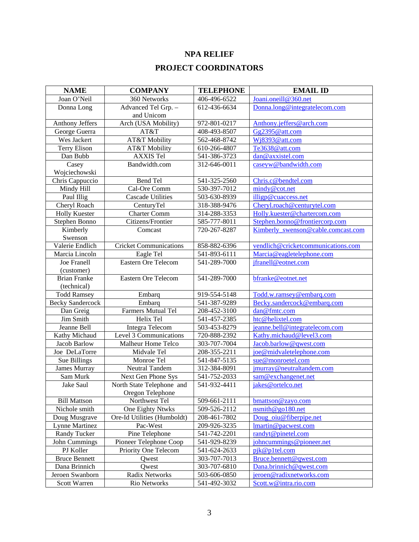# **NPA RELIEF PROJECT COORDINATORS**

| <b>NAME</b>             | <b>COMPANY</b>                | <b>TELEPHONE</b> | <b>EMAIL ID</b>                    |
|-------------------------|-------------------------------|------------------|------------------------------------|
| Joan O'Neil             | 360 Networks                  | 406-496-6522     | Joani.oneill@360.net               |
| Donna Long              | Advanced Tel Grp. -           | 612-436-6634     | Donna.long@integratelecom.com      |
|                         | and Unicom                    |                  |                                    |
| Anthony Jeffers         | Arch (USA Mobility)           | 972-801-0217     | Anthony.jeffers@arch.com           |
| George Guerra           | AT&T                          | 408-493-8507     | Gg2395@att.com                     |
| Wes Jackert             | AT&T Mobility                 | 562-468-8742     | Wj8393@att.com                     |
| <b>Terry Elison</b>     | AT&T Mobility                 | 610-266-4807     | Te3638@att.com                     |
| Dan Bubb                | <b>AXXIS Tel</b>              | 541-386-3723     | dan@axxistel.com                   |
| Casey                   | Bandwidth.com                 | 312-646-0011     | caseyw@bandwidth.com               |
| Wojciechowski           |                               |                  |                                    |
| Chris Cappuccio         | Bend Tel                      | 541-325-2560     | Chris.c@bendtel.com                |
| Mindy Hill              | Cal-Ore Comm                  | 530-397-7012     | mindy@cot.net                      |
| Paul Illig              | <b>Cascade Utilities</b>      | 503-630-8939     | illigp@cuaccess.net                |
| Cheryl Roach            | CenturyTel                    | 318-388-9476     | Cheryl.roach@centurytel.com        |
| <b>Holly Kuester</b>    | <b>Charter Comm</b>           | 314-288-3353     | Holly.kuester@chartercom.com       |
| Stephen Bonno           | Citizens/Frontier             | 585-777-8011     | Stephen.bonno@frontiercorp.com     |
| Kimberly                | Comcast                       | 720-267-8287     | Kimberly_swenson@cable.comcast.com |
| Swenson                 |                               |                  |                                    |
| Valerie Endlich         | <b>Cricket Communications</b> | 858-882-6396     | vendlich@cricketcommunications.com |
| Marcia Lincoln          | Eagle Tel                     | 541-893-6111     | Marcia@eagletelephone.com          |
| <b>Joe Franell</b>      | <b>Eastern Ore Telecom</b>    | 541-289-7000     | jfranell@eotnet.com                |
| (customer)              |                               |                  |                                    |
| <b>Brian Franke</b>     | <b>Eastern Ore Telecom</b>    | 541-289-7000     | bfranke@eotnet.net                 |
| (technical)             |                               |                  |                                    |
| <b>Todd Ramsey</b>      | Embarq                        | 919-554-5148     | Todd.w.ramsey@embarq.com           |
| <b>Becky Sandercock</b> | Embarq                        | 541-387-9289     | Becky.sandercock@embarq.com        |
| Dan Greig               | Farmers Mutual Tel            | 208-452-3100     | dan@fmtc.com                       |
| Jim Smith               | Helix Tel                     | 541-457-2385     | htc@helixtel.com                   |
| Jeanne Bell             | <b>Integra Telecom</b>        | 503-453-8279     | jeanne.bell@integratelecom.com     |
| Kathy Michaud           | Level 3 Communications        | 720-888-2392     | Kathy.michaud@level3.com           |
| Jacob Barlow            | Malheur Home Telco            | 303-707-7004     | Jacob.barlow@qwest.com             |
| Joe DeLaTorre           | Midvale Tel                   | 208-355-2211     | joe@midvaletelephone.com           |
| Sue Billings            | Monroe Tel                    | 541-847-5135     | sue@monroetel.com                  |
| James Murray            | Neutral Tandem                | 312-384-8091     | jmurray@neutraltandem.com          |
| Sam Murk                | Next Gen Phone Sys            | 541-752-2033     | sam@exchangenet.net                |
| Jake Saul               | North State Telephone and     | 541-932-4411     | jakes@ortelco.net                  |
|                         | Oregon Telephone              |                  |                                    |
| <b>Bill Mattson</b>     | Northwest Tel                 | 509-661-2111     | bmattson@zayo.com                  |
| Nichole smith           | One Eighty Ntwks              | 509-526-2112     | $n \sinh(\omega)$ go 180.net       |
| Doug Musgrave           | Ore-Id Utilities (Humboldt)   | 208-461-7802     | Doug_oiu@fiberpipe.net             |
| <b>Lynne Martinez</b>   | Pac-West                      | 209-926-3235     | lmartin@pacwest.com                |
| Randy Tucker            | Pine Telephone                | 541-742-2201     | randyt@pinetel.com                 |
| John Cummings           | Pioneer Telephone Coop        | 541-929-8239     | johncummings@pioneer.net           |
| PJ Koller               | Priority One Telecom          | 541-624-2633     | pjk@p1tel.com                      |
| <b>Bruce Bennett</b>    | Qwest                         | 303-707-7013     | Bruce.bennett@qwest.com            |
| Dana Brinnich           | Qwest                         | 303-707-6810     | Dana.brinnich@qwest.com            |
| Jeroen Swanborn         | Radix Networks                | 503-606-0850     | jeroen@radixnetworks.com           |
| Scott Warren            | Rio Networks                  | 541-492-3032     | Scott.w@intra.rio.com              |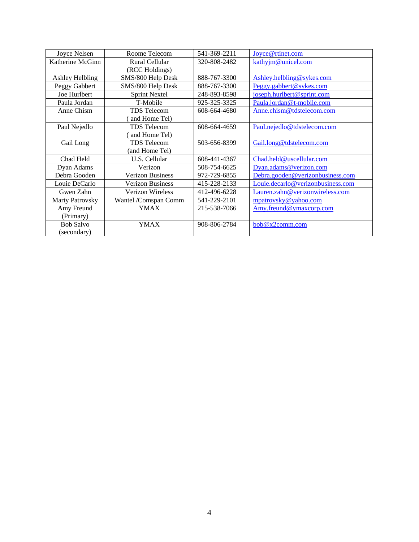| Joyce Nelsen           | Roome Telecom           | 541-369-2211 | Joyce@rtinet.com                  |
|------------------------|-------------------------|--------------|-----------------------------------|
| Katherine McGinn       | Rural Cellular          | 320-808-2482 | kathyjm@unicel.com                |
|                        | (RCC Holdings)          |              |                                   |
| Ashley Helbling        | SMS/800 Help Desk       | 888-767-3300 | Ashley.helbling@sykes.com         |
| Peggy Gabbert          | SMS/800 Help Desk       | 888-767-3300 | Peggy.gabbert@sykes.com           |
| Joe Hurlbert           | <b>Sprint Nextel</b>    | 248-893-8598 | joseph.hurlbert@sprint.com        |
| Paula Jordan           | T-Mobile                | 925-325-3325 | Paula.jordan@t-mobile.com         |
| Anne Chism             | <b>TDS</b> Telecom      | 608-664-4680 | Anne.chism@tdstelecom.com         |
|                        | and Home Tel)           |              |                                   |
| Paul Nejedlo           | <b>TDS</b> Telecom      | 608-664-4659 | Paul.nejedlo@tdstelecom.com       |
|                        | and Home Tel)           |              |                                   |
| Gail Long              | <b>TDS</b> Telecom      | 503-656-8399 | Gail.long@tdstelecom.com          |
|                        | (and Home Tel)          |              |                                   |
| Chad Held              | U.S. Cellular           | 608-441-4367 | Chad.held@uscellular.com          |
| Dyan Adams             | Verizon                 | 508-754-6625 | Dyan.adams@verizon.com            |
| Debra Gooden           | <b>Verizon Business</b> | 972-729-6855 | Debra.gooden@verizonbusiness.com  |
| Louie DeCarlo          | <b>Verizon Business</b> | 415-228-2133 | Louie.decarlo@verizonbusiness.com |
| Gwen Zahn              | <b>Verizon Wireless</b> | 412-496-6228 | Lauren.zahn@verizonwireless.com   |
| <b>Marty Patrovsky</b> | Wantel /Comspan Comm    | 541-229-2101 | mpatrovsky@yahoo.com              |
| Amy Freund             | YMAX                    | 215-538-7066 | Amy.freund@ymaxcorp.com           |
| (Primary)              |                         |              |                                   |
| <b>Bob Salvo</b>       | <b>YMAX</b>             | 908-806-2784 | bob@x2comm.com                    |
| (secondary)            |                         |              |                                   |